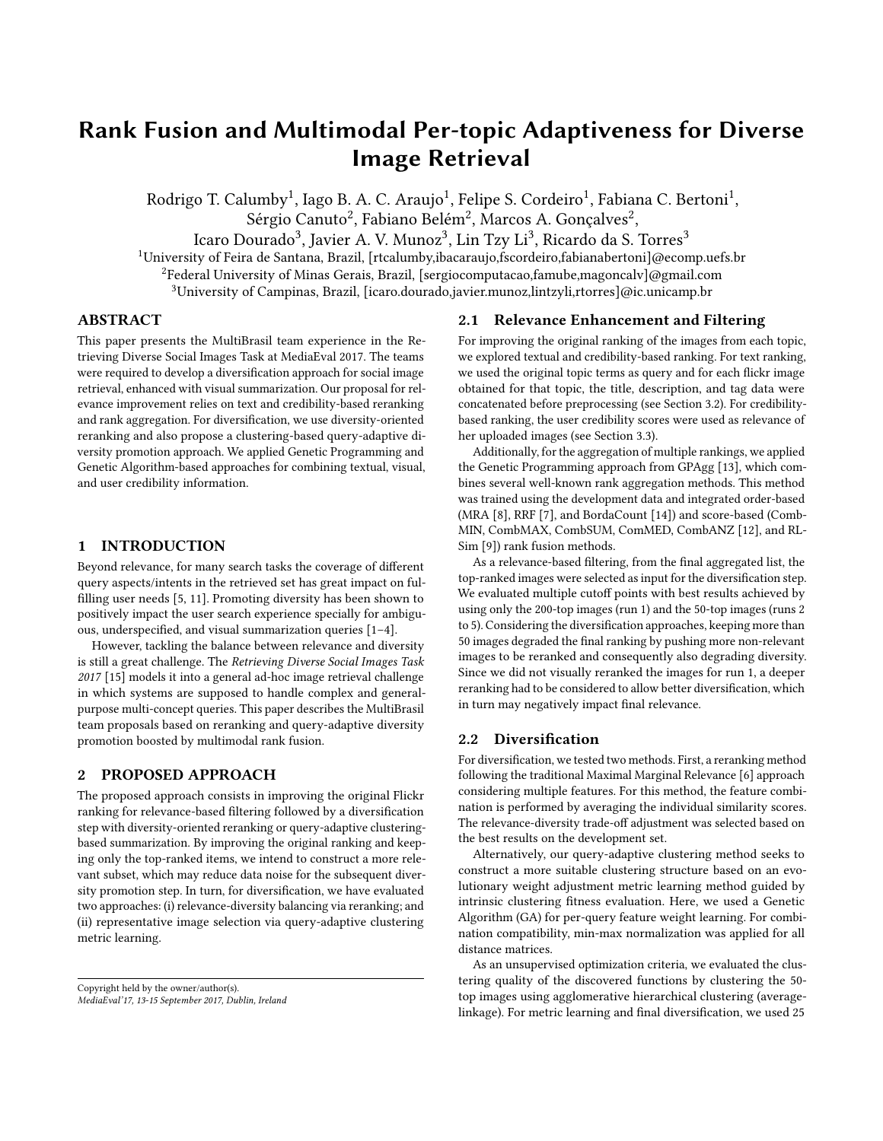# Rank Fusion and Multimodal Per-topic Adaptiveness for Diverse Image Retrieval

Rodrigo T. Calumby<sup>1</sup>, Iago B. A. C. Araujo<sup>1</sup>, Felipe S. Cordeiro<sup>1</sup>, Fabiana C. Bertoni<sup>1</sup>, Sérgio Canuto $^2$ , Fabiano Belém $^2$ , Marcos A. Gonçalves $^2$ ,

Icaro Dourado<sup>3</sup>, Javier A. V. Munoz<sup>3</sup>, Lin Tzy Li<sup>3</sup>, Ricardo da S. Torres<sup>3</sup>

<sup>1</sup>University of Feira de Santana, Brazil, [rtcalumby,ibacaraujo,fscordeiro,fabianabertoni]@ecomp.uefs.br

<sup>2</sup>Federal University of Minas Gerais, Brazil, [sergiocomputacao,famube,magoncalv]@gmail.com

<sup>3</sup>University of Campinas, Brazil, [icaro.dourado,javier.munoz,lintzyli,rtorres]@ic.unicamp.br

## ABSTRACT

This paper presents the MultiBrasil team experience in the Retrieving Diverse Social Images Task at MediaEval 2017. The teams were required to develop a diversification approach for social image retrieval, enhanced with visual summarization. Our proposal for relevance improvement relies on text and credibility-based reranking and rank aggregation. For diversification, we use diversity-oriented reranking and also propose a clustering-based query-adaptive diversity promotion approach. We applied Genetic Programming and Genetic Algorithm-based approaches for combining textual, visual, and user credibility information.

## 1 INTRODUCTION

Beyond relevance, for many search tasks the coverage of different query aspects/intents in the retrieved set has great impact on fulfilling user needs [\[5,](#page-2-0) [11\]](#page-2-1). Promoting diversity has been shown to positively impact the user search experience specially for ambiguous, underspecified, and visual summarization queries [\[1](#page-2-2)[–4\]](#page-2-3).

However, tackling the balance between relevance and diversity is still a great challenge. The Retrieving Diverse Social Images Task 2017 [\[15\]](#page-2-4) models it into a general ad-hoc image retrieval challenge in which systems are supposed to handle complex and generalpurpose multi-concept queries. This paper describes the MultiBrasil team proposals based on reranking and query-adaptive diversity promotion boosted by multimodal rank fusion.

## 2 PROPOSED APPROACH

The proposed approach consists in improving the original Flickr ranking for relevance-based filtering followed by a diversification step with diversity-oriented reranking or query-adaptive clusteringbased summarization. By improving the original ranking and keeping only the top-ranked items, we intend to construct a more relevant subset, which may reduce data noise for the subsequent diversity promotion step. In turn, for diversification, we have evaluated two approaches: (i) relevance-diversity balancing via reranking; and (ii) representative image selection via query-adaptive clustering metric learning.

### 2.1 Relevance Enhancement and Filtering

For improving the original ranking of the images from each topic, we explored textual and credibility-based ranking. For text ranking, we used the original topic terms as query and for each flickr image obtained for that topic, the title, description, and tag data were concatenated before preprocessing (see Section [3.2\)](#page-1-0). For credibilitybased ranking, the user credibility scores were used as relevance of her uploaded images (see Section [3.3\)](#page-1-1).

Additionally, for the aggregation of multiple rankings, we applied the Genetic Programming approach from GPAgg [\[13\]](#page-2-5), which combines several well-known rank aggregation methods. This method was trained using the development data and integrated order-based (MRA [\[8\]](#page-2-6), RRF [\[7\]](#page-2-7), and BordaCount [\[14\]](#page-2-8)) and score-based (Comb-MIN, CombMAX, CombSUM, ComMED, CombANZ [\[12\]](#page-2-9), and RL-Sim [\[9\]](#page-2-10)) rank fusion methods.

As a relevance-based filtering, from the final aggregated list, the top-ranked images were selected as input for the diversification step. We evaluated multiple cutoff points with best results achieved by using only the 200-top images (run 1) and the 50-top images (runs 2 to 5). Considering the diversification approaches, keeping more than 50 images degraded the final ranking by pushing more non-relevant images to be reranked and consequently also degrading diversity. Since we did not visually reranked the images for run 1, a deeper reranking had to be considered to allow better diversification, which in turn may negatively impact final relevance.

#### 2.2 Diversification

For diversification, we tested two methods. First, a reranking method following the traditional Maximal Marginal Relevance [\[6\]](#page-2-11) approach considering multiple features. For this method, the feature combination is performed by averaging the individual similarity scores. The relevance-diversity trade-off adjustment was selected based on the best results on the development set.

Alternatively, our query-adaptive clustering method seeks to construct a more suitable clustering structure based on an evolutionary weight adjustment metric learning method guided by intrinsic clustering fitness evaluation. Here, we used a Genetic Algorithm (GA) for per-query feature weight learning. For combination compatibility, min-max normalization was applied for all distance matrices.

As an unsupervised optimization criteria, we evaluated the clustering quality of the discovered functions by clustering the 50 top images using agglomerative hierarchical clustering (averagelinkage). For metric learning and final diversification, we used 25

Copyright held by the owner/author(s). MediaEval'17, 13-15 September 2017, Dublin, Ireland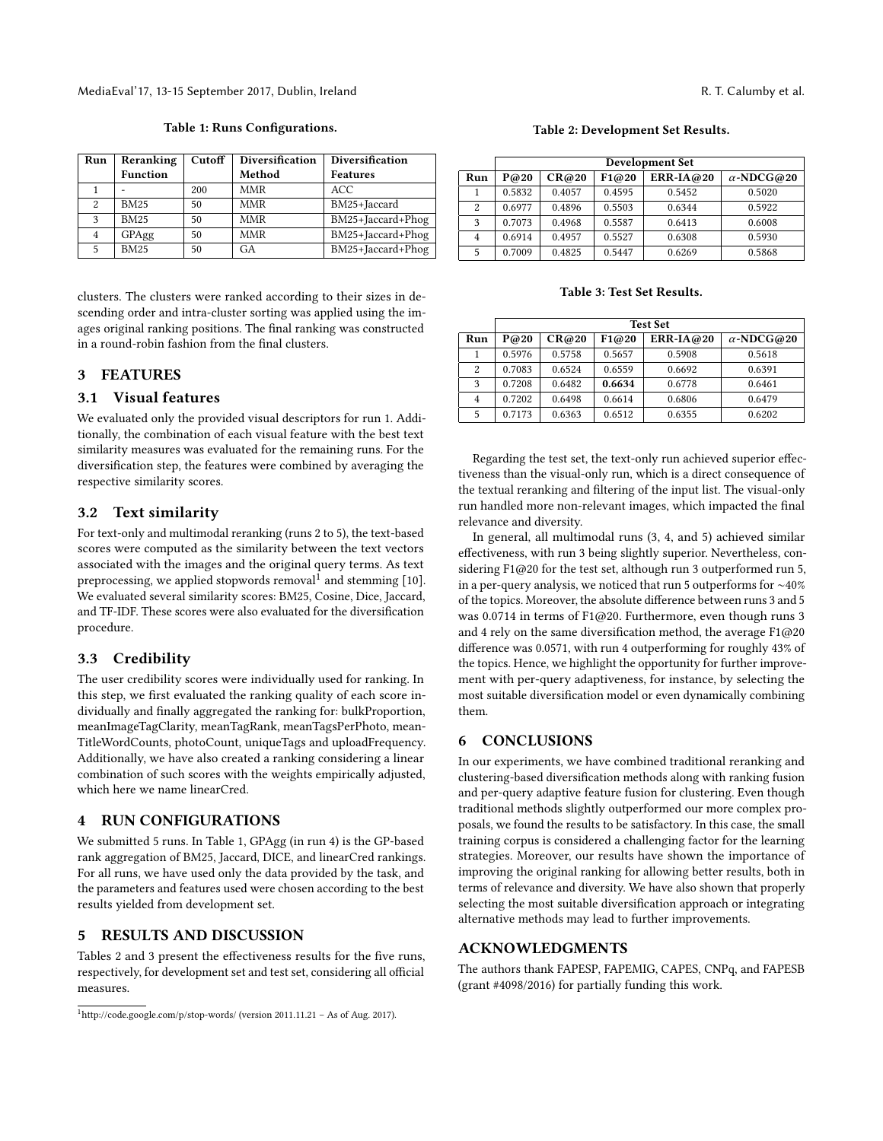clusters. The clusters were ranked according to their sizes in descending order and intra-cluster sorting was applied using the images original ranking positions. The final ranking was constructed in a round-robin fashion from the final clusters.

## 3 FEATURES

#### 3.1 Visual features

We evaluated only the provided visual descriptors for run 1. Additionally, the combination of each visual feature with the best text similarity measures was evaluated for the remaining runs. For the diversification step, the features were combined by averaging the respective similarity scores.

#### <span id="page-1-0"></span>3.2 Text similarity

For text-only and multimodal reranking (runs 2 to 5), the text-based scores were computed as the similarity between the text vectors associated with the images and the original query terms. As text preprocessing, we applied stopwords removal  $1$  and stemming [\[10\]](#page-2-12). We evaluated several similarity scores: BM25, Cosine, Dice, Jaccard, and TF-IDF. These scores were also evaluated for the diversification procedure.

## <span id="page-1-1"></span>3.3 Credibility

The user credibility scores were individually used for ranking. In this step, we first evaluated the ranking quality of each score individually and finally aggregated the ranking for: bulkProportion, meanImageTagClarity, meanTagRank, meanTagsPerPhoto, mean-TitleWordCounts, photoCount, uniqueTags and uploadFrequency. Additionally, we have also created a ranking considering a linear combination of such scores with the weights empirically adjusted, which here we name linearCred.

#### 4 RUN CONFIGURATIONS

We submitted 5 runs. In Table [1,](#page-1-3) GPAgg (in run 4) is the GP-based rank aggregation of BM25, Jaccard, DICE, and linearCred rankings. For all runs, we have used only the data provided by the task, and the parameters and features used were chosen according to the best results yielded from development set.

## 5 RESULTS AND DISCUSSION

Tables [2](#page-1-4) and [3](#page-1-5) present the effectiveness results for the five runs, respectively, for development set and test set, considering all official measures.

#### Table 2: Development Set Results.

<span id="page-1-4"></span>

|                | Development Set |        |        |             |                   |  |  |
|----------------|-----------------|--------|--------|-------------|-------------------|--|--|
| Run            | P@20            | CR@20  | F1@20  | $ERR-IA@20$ | $\alpha$ -NDCG@20 |  |  |
| 1              | 0.5832          | 0.4057 | 0.4595 | 0.5452      | 0.5020            |  |  |
| $\overline{2}$ | 0.6977          | 0.4896 | 0.5503 | 0.6344      | 0.5922            |  |  |
| 3              | 0.7073          | 0.4968 | 0.5587 | 0.6413      | 0.6008            |  |  |
| $\overline{4}$ | 0.6914          | 0.4957 | 0.5527 | 0.6308      | 0.5930            |  |  |
| 5              | 0.7009          | 0.4825 | 0.5447 | 0.6269      | 0.5868            |  |  |

Table 3: Test Set Results.

<span id="page-1-5"></span>

|                | <b>Test Set</b> |        |        |           |                   |  |  |
|----------------|-----------------|--------|--------|-----------|-------------------|--|--|
| Run            | P@20            | CR@20  | F1@20  | ERR-IA@20 | $\alpha$ -NDCG@20 |  |  |
|                | 0.5976          | 0.5758 | 0.5657 | 0.5908    | 0.5618            |  |  |
| 2              | 0.7083          | 0.6524 | 0.6559 | 0.6692    | 0.6391            |  |  |
| 3              | 0.7208          | 0.6482 | 0.6634 | 0.6778    | 0.6461            |  |  |
| $\overline{4}$ | 0.7202          | 0.6498 | 0.6614 | 0.6806    | 0.6479            |  |  |
| 5              | 0.7173          | 0.6363 | 0.6512 | 0.6355    | 0.6202            |  |  |

Regarding the test set, the text-only run achieved superior effectiveness than the visual-only run, which is a direct consequence of the textual reranking and filtering of the input list. The visual-only run handled more non-relevant images, which impacted the final relevance and diversity.

In general, all multimodal runs (3, 4, and 5) achieved similar effectiveness, with run 3 being slightly superior. Nevertheless, considering F1@20 for the test set, although run 3 outperformed run 5, in a per-query analysis, we noticed that run 5 outperforms for ∼40% of the topics. Moreover, the absolute difference between runs 3 and 5 was 0.0714 in terms of F1@20. Furthermore, even though runs 3 and 4 rely on the same diversification method, the average F1@20 difference was 0.0571, with run 4 outperforming for roughly 43% of the topics. Hence, we highlight the opportunity for further improvement with per-query adaptiveness, for instance, by selecting the most suitable diversification model or even dynamically combining them.

#### 6 CONCLUSIONS

In our experiments, we have combined traditional reranking and clustering-based diversification methods along with ranking fusion and per-query adaptive feature fusion for clustering. Even though traditional methods slightly outperformed our more complex proposals, we found the results to be satisfactory. In this case, the small training corpus is considered a challenging factor for the learning strategies. Moreover, our results have shown the importance of improving the original ranking for allowing better results, both in terms of relevance and diversity. We have also shown that properly selecting the most suitable diversification approach or integrating alternative methods may lead to further improvements.

#### ACKNOWLEDGMENTS

The authors thank FAPESP, FAPEMIG, CAPES, CNPq, and FAPESB (grant #4098/2016) for partially funding this work.

1 - 200 | MMR | ACC 2 | BM25 | 50 | MMR | BM25+Jaccard 3 BM25 50 MMR BM25+Jaccard+Phog 4 GPAgg 50 MMR BM25+Jaccard+Phog 5 BM25 50 GA BM25+Jaccard+Phog

Table 1: Runs Configurations.

<span id="page-1-3"></span>Run Reranking Cutoff Diversification Diversification Function Method Features

<span id="page-1-2"></span><sup>1</sup>http://code.google.com/p/stop-words/ (version 2011.11.21 – As of Aug. 2017).